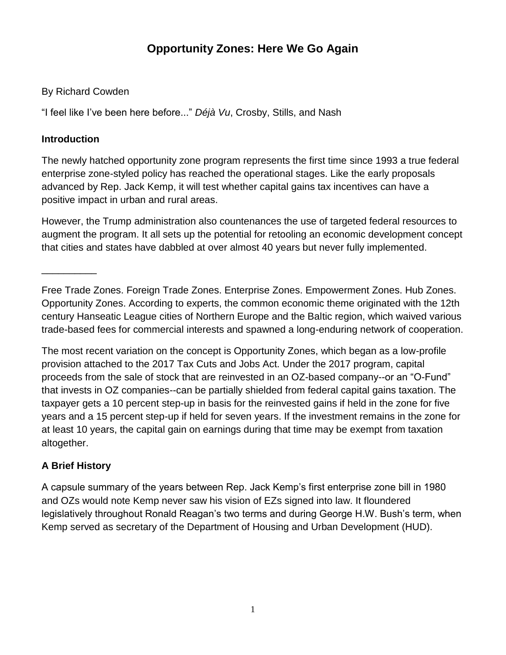# **Opportunity Zones: Here We Go Again**

#### By Richard Cowden

"I feel like I've been here before..." *Déjà Vu*, Crosby, Stills, and Nash

#### **Introduction**

\_\_\_\_\_\_\_\_\_\_

The newly hatched opportunity zone program represents the first time since 1993 a true federal enterprise zone-styled policy has reached the operational stages. Like the early proposals advanced by Rep. Jack Kemp, it will test whether capital gains tax incentives can have a positive impact in urban and rural areas.

However, the Trump administration also countenances the use of targeted federal resources to augment the program. It all sets up the potential for retooling an economic development concept that cities and states have dabbled at over almost 40 years but never fully implemented.

Free Trade Zones. Foreign Trade Zones. Enterprise Zones. Empowerment Zones. Hub Zones. Opportunity Zones. According to experts, the common economic theme originated with the 12th century Hanseatic League cities of Northern Europe and the Baltic region, which waived various trade-based fees for commercial interests and spawned a long-enduring network of cooperation.

The most recent variation on the concept is Opportunity Zones, which began as a low-profile provision attached to the 2017 Tax Cuts and Jobs Act. Under the 2017 program, capital proceeds from the sale of stock that are reinvested in an OZ-based company--or an "O-Fund" that invests in OZ companies--can be partially shielded from federal capital gains taxation. The taxpayer gets a 10 percent step-up in basis for the reinvested gains if held in the zone for five years and a 15 percent step-up if held for seven years. If the investment remains in the zone for at least 10 years, the capital gain on earnings during that time may be exempt from taxation altogether.

# **A Brief History**

A capsule summary of the years between Rep. Jack Kemp's first enterprise zone bill in 1980 and OZs would note Kemp never saw his vision of EZs signed into law. It floundered legislatively throughout Ronald Reagan's two terms and during George H.W. Bush's term, when Kemp served as secretary of the Department of Housing and Urban Development (HUD).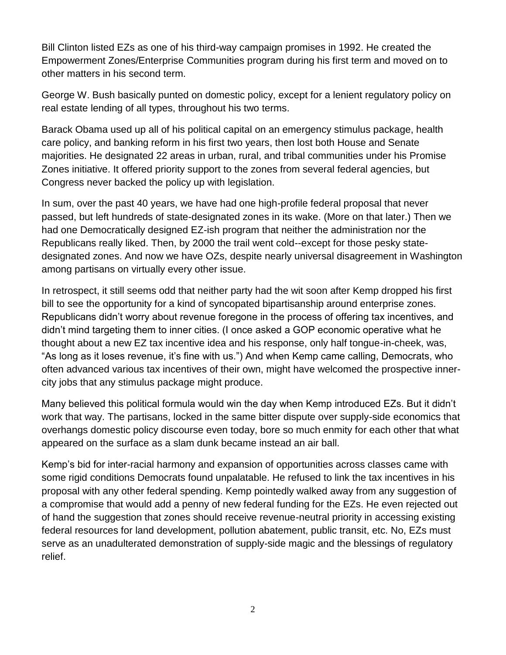Bill Clinton listed EZs as one of his third-way campaign promises in 1992. He created the Empowerment Zones/Enterprise Communities program during his first term and moved on to other matters in his second term.

George W. Bush basically punted on domestic policy, except for a lenient regulatory policy on real estate lending of all types, throughout his two terms.

Barack Obama used up all of his political capital on an emergency stimulus package, health care policy, and banking reform in his first two years, then lost both House and Senate majorities. He designated 22 areas in urban, rural, and tribal communities under his Promise Zones initiative. It offered priority support to the zones from several federal agencies, but Congress never backed the policy up with legislation.

In sum, over the past 40 years, we have had one high-profile federal proposal that never passed, but left hundreds of state-designated zones in its wake. (More on that later.) Then we had one Democratically designed EZ-ish program that neither the administration nor the Republicans really liked. Then, by 2000 the trail went cold--except for those pesky statedesignated zones. And now we have OZs, despite nearly universal disagreement in Washington among partisans on virtually every other issue.

In retrospect, it still seems odd that neither party had the wit soon after Kemp dropped his first bill to see the opportunity for a kind of syncopated bipartisanship around enterprise zones. Republicans didn't worry about revenue foregone in the process of offering tax incentives, and didn't mind targeting them to inner cities. (I once asked a GOP economic operative what he thought about a new EZ tax incentive idea and his response, only half tongue-in-cheek, was, "As long as it loses revenue, it's fine with us.") And when Kemp came calling, Democrats, who often advanced various tax incentives of their own, might have welcomed the prospective innercity jobs that any stimulus package might produce.

Many believed this political formula would win the day when Kemp introduced EZs. But it didn't work that way. The partisans, locked in the same bitter dispute over supply-side economics that overhangs domestic policy discourse even today, bore so much enmity for each other that what appeared on the surface as a slam dunk became instead an air ball.

Kemp's bid for inter-racial harmony and expansion of opportunities across classes came with some rigid conditions Democrats found unpalatable. He refused to link the tax incentives in his proposal with any other federal spending. Kemp pointedly walked away from any suggestion of a compromise that would add a penny of new federal funding for the EZs. He even rejected out of hand the suggestion that zones should receive revenue-neutral priority in accessing existing federal resources for land development, pollution abatement, public transit, etc. No, EZs must serve as an unadulterated demonstration of supply-side magic and the blessings of regulatory relief.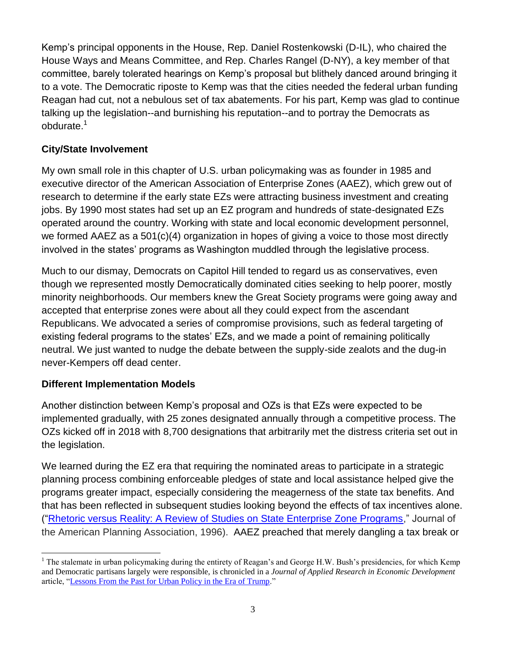Kemp's principal opponents in the House, Rep. Daniel Rostenkowski (D-IL), who chaired the House Ways and Means Committee, and Rep. Charles Rangel (D-NY), a key member of that committee, barely tolerated hearings on Kemp's proposal but blithely danced around bringing it to a vote. The Democratic riposte to Kemp was that the cities needed the federal urban funding Reagan had cut, not a nebulous set of tax abatements. For his part, Kemp was glad to continue talking up the legislation--and burnishing his reputation--and to portray the Democrats as obdurate.<sup>1</sup>

### **City/State Involvement**

My own small role in this chapter of U.S. urban policymaking was as founder in 1985 and executive director of the American Association of Enterprise Zones (AAEZ), which grew out of research to determine if the early state EZs were attracting business investment and creating jobs. By 1990 most states had set up an EZ program and hundreds of state-designated EZs operated around the country. Working with state and local economic development personnel, we formed AAEZ as a 501(c)(4) organization in hopes of giving a voice to those most directly involved in the states' programs as Washington muddled through the legislative process.

Much to our dismay, Democrats on Capitol Hill tended to regard us as conservatives, even though we represented mostly Democratically dominated cities seeking to help poorer, mostly minority neighborhoods. Our members knew the Great Society programs were going away and accepted that enterprise zones were about all they could expect from the ascendant Republicans. We advocated a series of compromise provisions, such as federal targeting of existing federal programs to the states' EZs, and we made a point of remaining politically neutral. We just wanted to nudge the debate between the supply-side zealots and the dug-in never-Kempers off dead center.

#### **Different Implementation Models**

 $\overline{a}$ 

Another distinction between Kemp's proposal and OZs is that EZs were expected to be implemented gradually, with 25 zones designated annually through a competitive process. The OZs kicked off in 2018 with 8,700 designations that arbitrarily met the distress criteria set out in the legislation.

We learned during the EZ era that requiring the nominated areas to participate in a strategic planning process combining enforceable pledges of state and local assistance helped give the programs greater impact, especially considering the meagerness of the state tax benefits. And that has been reflected in subsequent studies looking beyond the effects of tax incentives alone. (["Rhetoric versus Reality: A Review of Studies on State Enterprise Zone Programs,](https://www.tandfonline.com/doi/abs/10.1080/01944369608975713)" Journal of the American Planning Association, 1996). AAEZ preached that merely dangling a tax break or

<sup>&</sup>lt;sup>1</sup> The stalemate in urban policymaking during the entirety of Reagan's and George H.W. Bush's presidencies, for which Kemp and Democratic partisans largely were responsible, is chronicled in a *Journal of Applied Research in Economic Development* article, ["Lessons From the Past for Urban Policy in the Era of Trump.](http://journal.c2er.org/2016/12/lessons-from-the-past-for-urban-policy-in-the-era-of-trump/)"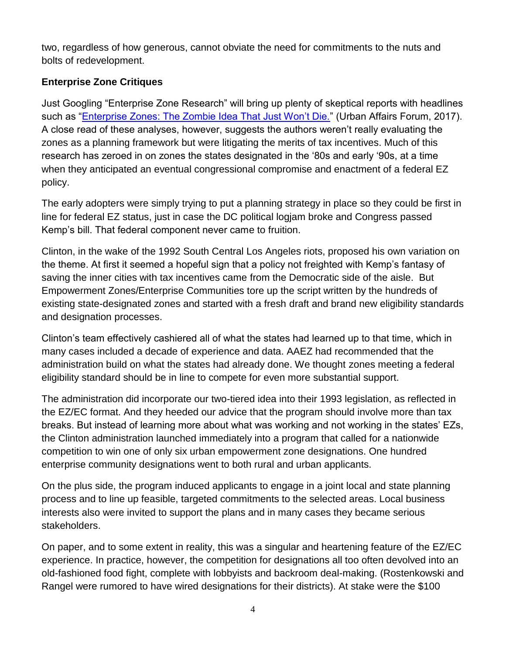two, regardless of how generous, cannot obviate the need for commitments to the nuts and bolts of redevelopment.

# **Enterprise Zone Critiques**

Just Googling "Enterprise Zone Research" will bring up plenty of skeptical reports with headlines such as ["Enterprise Zones: The Zombie Idea That Just Won't Die."](https://urbanaffairsreview.com/2017/07/18/theyre-back-ben-carson-revives-the-enterprise-zone-the-zombie-idea-that-just-wont-die/) (Urban Affairs Forum, 2017). A close read of these analyses, however, suggests the authors weren't really evaluating the zones as a planning framework but were litigating the merits of tax incentives. Much of this research has zeroed in on zones the states designated in the '80s and early '90s, at a time when they anticipated an eventual congressional compromise and enactment of a federal EZ policy.

The early adopters were simply trying to put a planning strategy in place so they could be first in line for federal EZ status, just in case the DC political logjam broke and Congress passed Kemp's bill. That federal component never came to fruition.

Clinton, in the wake of the 1992 South Central Los Angeles riots, proposed his own variation on the theme. At first it seemed a hopeful sign that a policy not freighted with Kemp's fantasy of saving the inner cities with tax incentives came from the Democratic side of the aisle. But Empowerment Zones/Enterprise Communities tore up the script written by the hundreds of existing state-designated zones and started with a fresh draft and brand new eligibility standards and designation processes.

Clinton's team effectively cashiered all of what the states had learned up to that time, which in many cases included a decade of experience and data. AAEZ had recommended that the administration build on what the states had already done. We thought zones meeting a federal eligibility standard should be in line to compete for even more substantial support.

The administration did incorporate our two-tiered idea into their 1993 legislation, as reflected in the EZ/EC format. And they heeded our advice that the program should involve more than tax breaks. But instead of learning more about what was working and not working in the states' EZs, the Clinton administration launched immediately into a program that called for a nationwide competition to win one of only six urban empowerment zone designations. One hundred enterprise community designations went to both rural and urban applicants.

On the plus side, the program induced applicants to engage in a joint local and state planning process and to line up feasible, targeted commitments to the selected areas. Local business interests also were invited to support the plans and in many cases they became serious stakeholders.

On paper, and to some extent in reality, this was a singular and heartening feature of the EZ/EC experience. In practice, however, the competition for designations all too often devolved into an old-fashioned food fight, complete with lobbyists and backroom deal-making. (Rostenkowski and Rangel were rumored to have wired designations for their districts). At stake were the \$100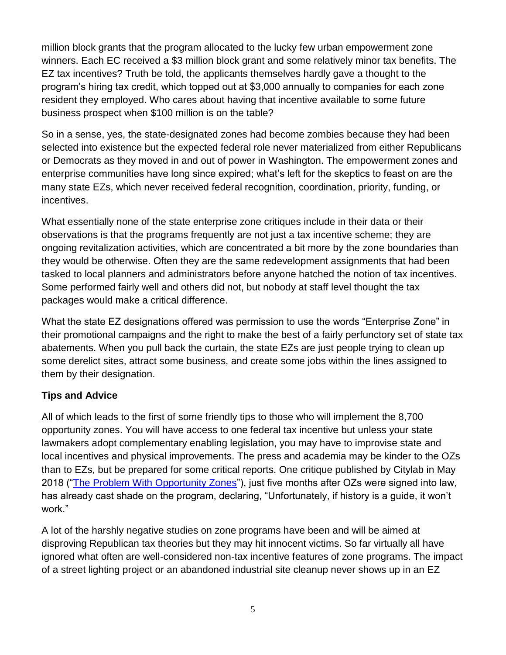million block grants that the program allocated to the lucky few urban empowerment zone winners. Each EC received a \$3 million block grant and some relatively minor tax benefits. The EZ tax incentives? Truth be told, the applicants themselves hardly gave a thought to the program's hiring tax credit, which topped out at \$3,000 annually to companies for each zone resident they employed. Who cares about having that incentive available to some future business prospect when \$100 million is on the table?

So in a sense, yes, the state-designated zones had become zombies because they had been selected into existence but the expected federal role never materialized from either Republicans or Democrats as they moved in and out of power in Washington. The empowerment zones and enterprise communities have long since expired; what's left for the skeptics to feast on are the many state EZs, which never received federal recognition, coordination, priority, funding, or incentives.

What essentially none of the state enterprise zone critiques include in their data or their observations is that the programs frequently are not just a tax incentive scheme; they are ongoing revitalization activities, which are concentrated a bit more by the zone boundaries than they would be otherwise. Often they are the same redevelopment assignments that had been tasked to local planners and administrators before anyone hatched the notion of tax incentives. Some performed fairly well and others did not, but nobody at staff level thought the tax packages would make a critical difference.

What the state EZ designations offered was permission to use the words "Enterprise Zone" in their promotional campaigns and the right to make the best of a fairly perfunctory set of state tax abatements. When you pull back the curtain, the state EZs are just people trying to clean up some derelict sites, attract some business, and create some jobs within the lines assigned to them by their designation.

#### **Tips and Advice**

All of which leads to the first of some friendly tips to those who will implement the 8,700 opportunity zones. You will have access to one federal tax incentive but unless your state lawmakers adopt complementary enabling legislation, you may have to improvise state and local incentives and physical improvements. The press and academia may be kinder to the OZs than to EZs, but be prepared for some critical reports. One critique published by Citylab in May 2018 (["The Problem With Opportunity Zones"](https://www.citylab.com/equity/2018/05/the-problem-with-opportunity-zones/560510/)), just five months after OZs were signed into law, has already cast shade on the program, declaring, "Unfortunately, if history is a guide, it won't work."

A lot of the harshly negative studies on zone programs have been and will be aimed at disproving Republican tax theories but they may hit innocent victims. So far virtually all have ignored what often are well-considered non-tax incentive features of zone programs. The impact of a street lighting project or an abandoned industrial site cleanup never shows up in an EZ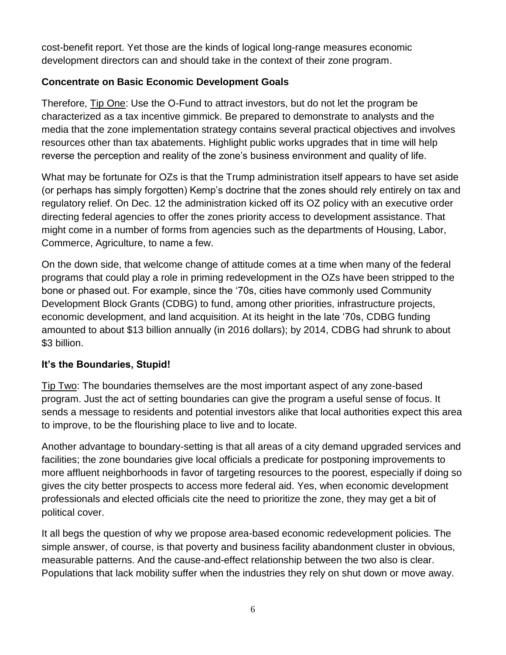cost-benefit report. Yet those are the kinds of logical long-range measures economic development directors can and should take in the context of their zone program.

#### **Concentrate on Basic Economic Development Goals**

Therefore, Tip One: Use the O-Fund to attract investors, but do not let the program be characterized as a tax incentive gimmick. Be prepared to demonstrate to analysts and the media that the zone implementation strategy contains several practical objectives and involves resources other than tax abatements. Highlight public works upgrades that in time will help reverse the perception and reality of the zone's business environment and quality of life.

What may be fortunate for OZs is that the Trump administration itself appears to have set aside (or perhaps has simply forgotten) Kemp's doctrine that the zones should rely entirely on tax and regulatory relief. On Dec. 12 the administration kicked off its OZ policy with an executive order directing federal agencies to offer the zones priority access to development assistance. That might come in a number of forms from agencies such as the departments of Housing, Labor, Commerce, Agriculture, to name a few.

On the down side, that welcome change of attitude comes at a time when many of the federal programs that could play a role in priming redevelopment in the OZs have been stripped to the bone or phased out. For example, since the '70s, cities have commonly used Community Development Block Grants (CDBG) to fund, among other priorities, infrastructure projects, economic development, and land acquisition. At its height in the late '70s, CDBG funding amounted to about \$13 billion annually (in 2016 dollars); by 2014, CDBG had shrunk to about \$3 billion.

# **It's the Boundaries, Stupid!**

Tip Two: The boundaries themselves are the most important aspect of any zone-based program. Just the act of setting boundaries can give the program a useful sense of focus. It sends a message to residents and potential investors alike that local authorities expect this area to improve, to be the flourishing place to live and to locate.

Another advantage to boundary-setting is that all areas of a city demand upgraded services and facilities; the zone boundaries give local officials a predicate for postponing improvements to more affluent neighborhoods in favor of targeting resources to the poorest, especially if doing so gives the city better prospects to access more federal aid. Yes, when economic development professionals and elected officials cite the need to prioritize the zone, they may get a bit of political cover.

It all begs the question of why we propose area-based economic redevelopment policies. The simple answer, of course, is that poverty and business facility abandonment cluster in obvious, measurable patterns. And the cause-and-effect relationship between the two also is clear. Populations that lack mobility suffer when the industries they rely on shut down or move away.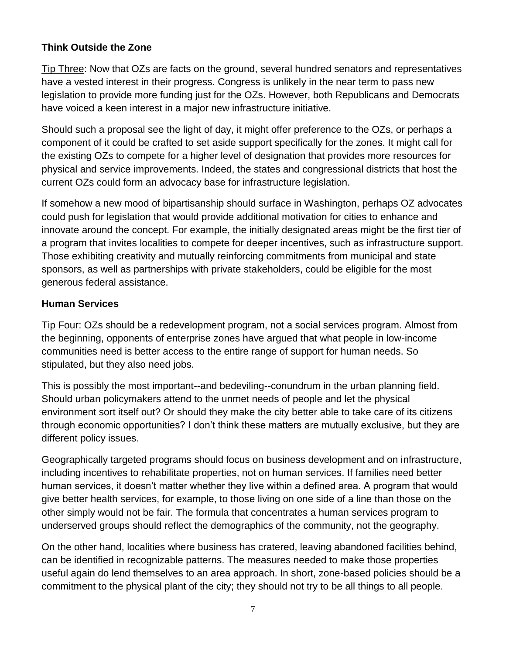#### **Think Outside the Zone**

Tip Three: Now that OZs are facts on the ground, several hundred senators and representatives have a vested interest in their progress. Congress is unlikely in the near term to pass new legislation to provide more funding just for the OZs. However, both Republicans and Democrats have voiced a keen interest in a major new infrastructure initiative.

Should such a proposal see the light of day, it might offer preference to the OZs, or perhaps a component of it could be crafted to set aside support specifically for the zones. It might call for the existing OZs to compete for a higher level of designation that provides more resources for physical and service improvements. Indeed, the states and congressional districts that host the current OZs could form an advocacy base for infrastructure legislation.

If somehow a new mood of bipartisanship should surface in Washington, perhaps OZ advocates could push for legislation that would provide additional motivation for cities to enhance and innovate around the concept. For example, the initially designated areas might be the first tier of a program that invites localities to compete for deeper incentives, such as infrastructure support. Those exhibiting creativity and mutually reinforcing commitments from municipal and state sponsors, as well as partnerships with private stakeholders, could be eligible for the most generous federal assistance.

#### **Human Services**

Tip Four: OZs should be a redevelopment program, not a social services program. Almost from the beginning, opponents of enterprise zones have argued that what people in low-income communities need is better access to the entire range of support for human needs. So stipulated, but they also need jobs.

This is possibly the most important--and bedeviling--conundrum in the urban planning field. Should urban policymakers attend to the unmet needs of people and let the physical environment sort itself out? Or should they make the city better able to take care of its citizens through economic opportunities? I don't think these matters are mutually exclusive, but they are different policy issues.

Geographically targeted programs should focus on business development and on infrastructure, including incentives to rehabilitate properties, not on human services. If families need better human services, it doesn't matter whether they live within a defined area. A program that would give better health services, for example, to those living on one side of a line than those on the other simply would not be fair. The formula that concentrates a human services program to underserved groups should reflect the demographics of the community, not the geography.

On the other hand, localities where business has cratered, leaving abandoned facilities behind, can be identified in recognizable patterns. The measures needed to make those properties useful again do lend themselves to an area approach. In short, zone-based policies should be a commitment to the physical plant of the city; they should not try to be all things to all people.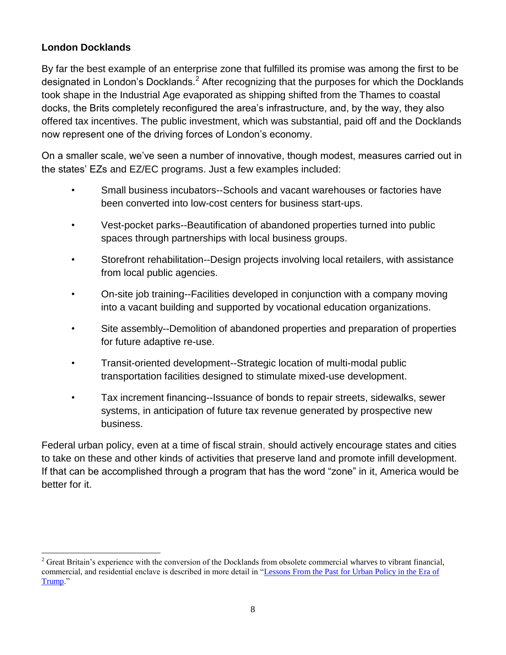### **London Docklands**

 $\overline{a}$ 

By far the best example of an enterprise zone that fulfilled its promise was among the first to be designated in London's Docklands.<sup>2</sup> After recognizing that the purposes for which the Docklands took shape in the Industrial Age evaporated as shipping shifted from the Thames to coastal docks, the Brits completely reconfigured the area's infrastructure, and, by the way, they also offered tax incentives. The public investment, which was substantial, paid off and the Docklands now represent one of the driving forces of London's economy.

On a smaller scale, we've seen a number of innovative, though modest, measures carried out in the states' EZs and EZ/EC programs. Just a few examples included:

- Small business incubators--Schools and vacant warehouses or factories have been converted into low-cost centers for business start-ups.
- Vest-pocket parks--Beautification of abandoned properties turned into public spaces through partnerships with local business groups.
- Storefront rehabilitation--Design projects involving local retailers, with assistance from local public agencies.
- On-site job training--Facilities developed in conjunction with a company moving into a vacant building and supported by vocational education organizations.
- Site assembly--Demolition of abandoned properties and preparation of properties for future adaptive re-use.
- Transit-oriented development--Strategic location of multi-modal public transportation facilities designed to stimulate mixed-use development.
- Tax increment financing--Issuance of bonds to repair streets, sidewalks, sewer systems, in anticipation of future tax revenue generated by prospective new business.

Federal urban policy, even at a time of fiscal strain, should actively encourage states and cities to take on these and other kinds of activities that preserve land and promote infill development. If that can be accomplished through a program that has the word "zone" in it, America would be better for it.

 $2$  Great Britain's experience with the conversion of the Docklands from obsolete commercial wharves to vibrant financial, commercial, and residential enclave is described in more detail in ["Lessons From the Past for Urban Policy in the Era of](http://journal.c2er.org/2016/12/lessons-from-the-past-for-urban-policy-in-the-era-of-trump/)  [Trump.](http://journal.c2er.org/2016/12/lessons-from-the-past-for-urban-policy-in-the-era-of-trump/)"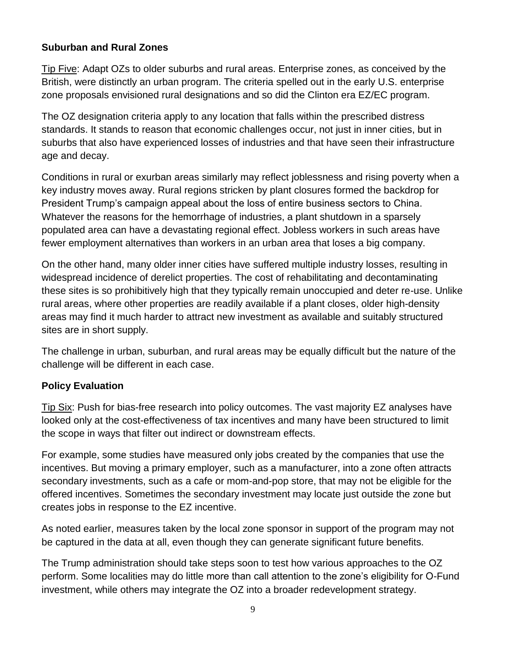#### **Suburban and Rural Zones**

Tip Five: Adapt OZs to older suburbs and rural areas. Enterprise zones, as conceived by the British, were distinctly an urban program. The criteria spelled out in the early U.S. enterprise zone proposals envisioned rural designations and so did the Clinton era EZ/EC program.

The OZ designation criteria apply to any location that falls within the prescribed distress standards. It stands to reason that economic challenges occur, not just in inner cities, but in suburbs that also have experienced losses of industries and that have seen their infrastructure age and decay.

Conditions in rural or exurban areas similarly may reflect joblessness and rising poverty when a key industry moves away. Rural regions stricken by plant closures formed the backdrop for President Trump's campaign appeal about the loss of entire business sectors to China. Whatever the reasons for the hemorrhage of industries, a plant shutdown in a sparsely populated area can have a devastating regional effect. Jobless workers in such areas have fewer employment alternatives than workers in an urban area that loses a big company.

On the other hand, many older inner cities have suffered multiple industry losses, resulting in widespread incidence of derelict properties. The cost of rehabilitating and decontaminating these sites is so prohibitively high that they typically remain unoccupied and deter re-use. Unlike rural areas, where other properties are readily available if a plant closes, older high-density areas may find it much harder to attract new investment as available and suitably structured sites are in short supply.

The challenge in urban, suburban, and rural areas may be equally difficult but the nature of the challenge will be different in each case.

# **Policy Evaluation**

Tip Six: Push for bias-free research into policy outcomes. The vast majority EZ analyses have looked only at the cost-effectiveness of tax incentives and many have been structured to limit the scope in ways that filter out indirect or downstream effects.

For example, some studies have measured only jobs created by the companies that use the incentives. But moving a primary employer, such as a manufacturer, into a zone often attracts secondary investments, such as a cafe or mom-and-pop store, that may not be eligible for the offered incentives. Sometimes the secondary investment may locate just outside the zone but creates jobs in response to the EZ incentive.

As noted earlier, measures taken by the local zone sponsor in support of the program may not be captured in the data at all, even though they can generate significant future benefits.

The Trump administration should take steps soon to test how various approaches to the OZ perform. Some localities may do little more than call attention to the zone's eligibility for O-Fund investment, while others may integrate the OZ into a broader redevelopment strategy.